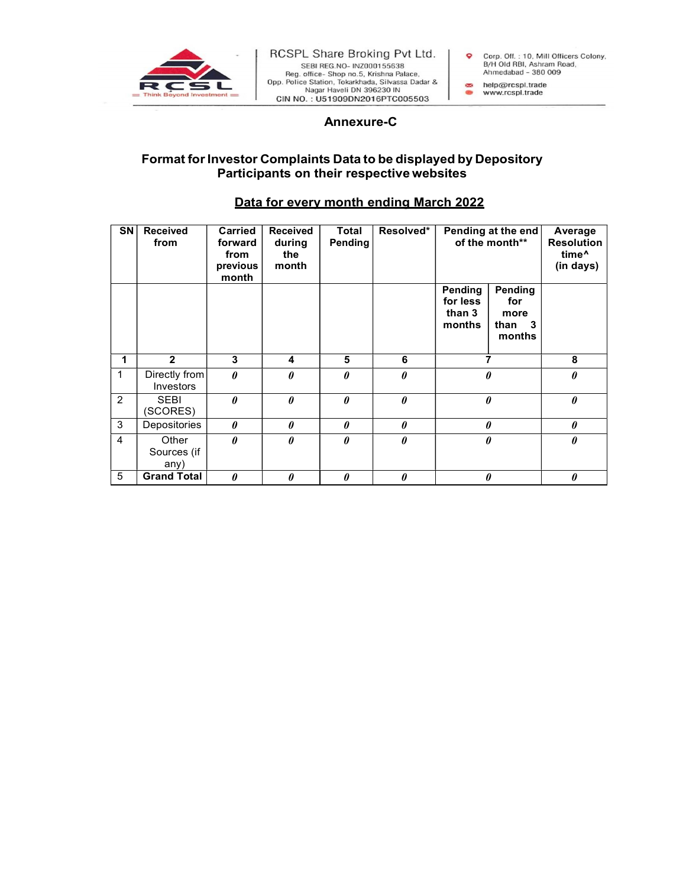

## a non- Tokar Maria Pate 1971<br>
A non- Tokar Maria Pate 2014<br>
Shop no.5, Krishna Pate 2014<br>
Shop non, Tokar Mada, Silvassa Dadar &<br>
Ahmedabad - 380 009<br>
Haveli DN 396230 IN<br>
Annexure-C<br>
S Data to be displayed by Depository<br> Format for Investor Complaints Data to be displayed by Depository Participants on their respective websites

## Data for every month ending March 2022

| $\overline{\mathsf{SN}}$ | <b>Received</b><br>from      | <b>Carried</b><br>forward<br>from<br>previous<br>month | <b>Received</b><br>during<br>the<br>month | Total<br>Pending | Resolved*             | Pending at the end<br>of the month**    |                                            | Average<br><b>Resolution</b><br>time <sup>^</sup><br>(in days) |
|--------------------------|------------------------------|--------------------------------------------------------|-------------------------------------------|------------------|-----------------------|-----------------------------------------|--------------------------------------------|----------------------------------------------------------------|
|                          |                              |                                                        |                                           |                  |                       | Pending<br>for less<br>than 3<br>months | Pending<br>for<br>more<br>than 3<br>months |                                                                |
|                          | $\overline{2}$               | 3                                                      | 4                                         | 5                | 6                     | ⇁                                       |                                            | 8                                                              |
| $\mathbf{1}$             | Directly from<br>Investors   | $\theta$                                               | $\theta$                                  | 0                | $\boldsymbol{\theta}$ | 0                                       |                                            | $\boldsymbol{\theta}$                                          |
| 2                        | <b>SEBI</b><br>(SCORES)      | $\theta$                                               | $\theta$                                  | $\theta$         | $\boldsymbol{\theta}$ | $\theta$                                |                                            | $\boldsymbol{\theta}$                                          |
| 3                        | Depositories                 | 0                                                      | 0                                         | $\theta$         | 0                     | $\theta$                                |                                            | $\boldsymbol{\theta}$                                          |
| 4                        | Other<br>Sources (if<br>any) | 0                                                      | $\theta$                                  | $\theta$         | $\theta$              | $\theta$                                |                                            | $\boldsymbol{\theta}$                                          |
| 5                        | <b>Grand Total</b>           | $\theta$                                               | 0                                         | 0                | $\boldsymbol{\theta}$ | 0                                       |                                            | $\boldsymbol{\theta}$                                          |